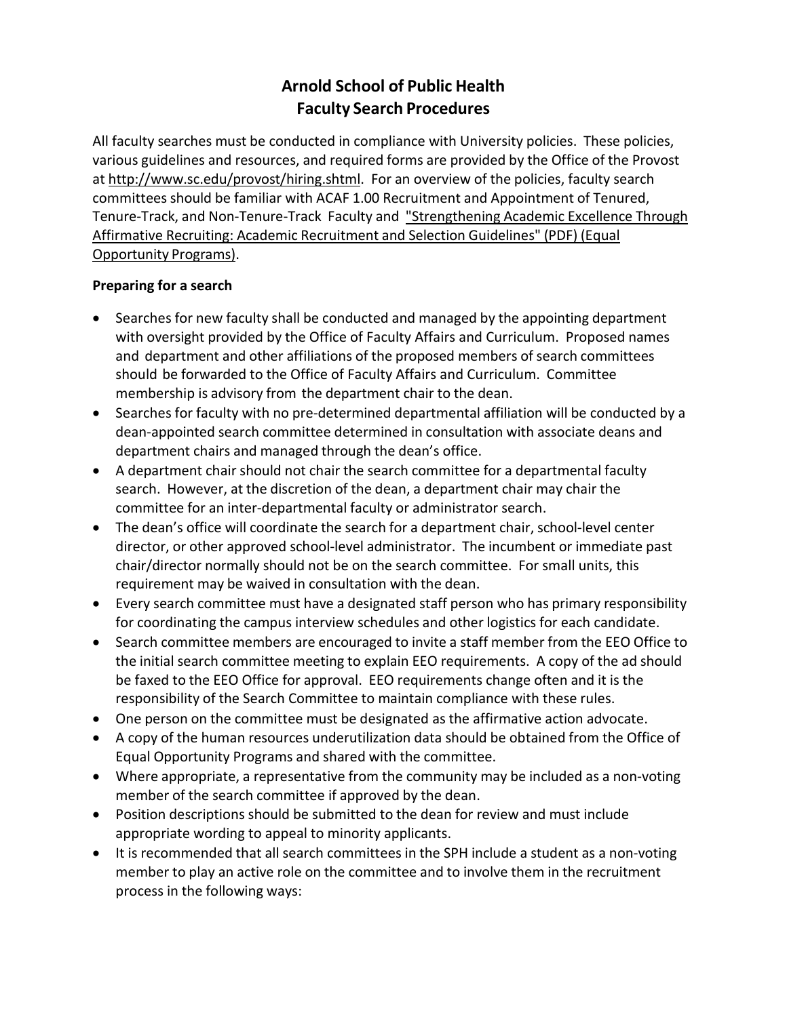# **Arnold School of Public Health Faculty Search Procedures**

All faculty searches must be conducted in compliance with University policies. These policies, various guidelines and resources, and required forms are provided by the Office of the Provost at [http://www.sc.edu/provost/hiring.shtml.](http://www.sc.edu/provost/hiring.shtml) For an overview of the policies, faculty search committees should be familiar with ACAF 1.00 Recruitment and Appointment of Tenured, Tenure-Track, and Non-Tenure-Track Faculty and "Strengthening Academic Excellence Through Affirmative Recruiting: Academic Recruitment and Selection Guidelines" (PDF) (Equal Opportunity Programs).

## **Preparing for a search**

- Searches for new faculty shall be conducted and managed by the appointing department with oversight provided by the Office of Faculty Affairs and Curriculum. Proposed names and department and other affiliations of the proposed members of search committees should be forwarded to the Office of Faculty Affairs and Curriculum. Committee membership is advisory from the department chair to the dean.
- Searches for faculty with no pre‐determined departmental affiliation will be conducted by a dean‐appointed search committee determined in consultation with associate deans and department chairs and managed through the dean's office.
- A department chair should not chair the search committee for a departmental faculty search. However, at the discretion of the dean, a department chair may chair the committee for an inter‐departmental faculty or administrator search.
- The dean's office will coordinate the search for a department chair, school‐level center director, or other approved school‐level administrator. The incumbent or immediate past chair/director normally should not be on the search committee. For small units, this requirement may be waived in consultation with the dean.
- Every search committee must have a designated staff person who has primary responsibility for coordinating the campus interview schedules and other logistics for each candidate.
- Search committee members are encouraged to invite a staff member from the EEO Office to the initial search committee meeting to explain EEO requirements. A copy of the ad should be faxed to the EEO Office for approval. EEO requirements change often and it is the responsibility of the Search Committee to maintain compliance with these rules.
- One person on the committee must be designated as the affirmative action advocate.
- A copy of the human resources underutilization data should be obtained from the Office of Equal Opportunity Programs and shared with the committee.
- Where appropriate, a representative from the community may be included as a non‐voting member of the search committee if approved by the dean.
- Position descriptions should be submitted to the dean for review and must include appropriate wording to appeal to minority applicants.
- It is recommended that all search committees in the SPH include a student as a non‐voting member to play an active role on the committee and to involve them in the recruitment process in the following ways: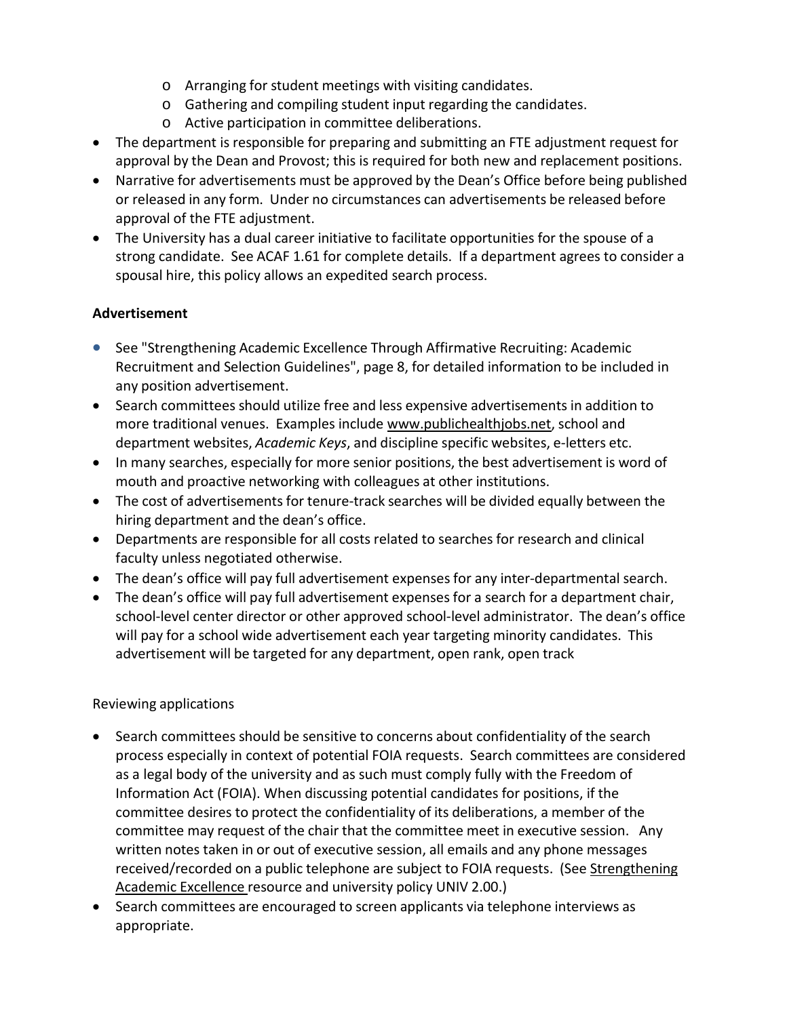- o Arranging for student meetings with visiting candidates.
- o Gathering and compiling student input regarding the candidates.
- o Active participation in committee deliberations.
- The department is responsible for preparing and submitting an FTE adjustment request for approval by the Dean and Provost; this is required for both new and replacement positions.
- Narrative for advertisements must be approved by the Dean's Office before being published or released in any form. Under no circumstances can advertisements be released before approval of the FTE adjustment.
- The University has a dual career initiative to facilitate opportunities for the spouse of a strong candidate. See ACAF 1.61 for complete details. If a department agrees to consider a spousal hire, this policy allows an expedited search process.

## **Advertisement**

- See "Strengthening Academic Excellence Through Affirmative Recruiting: Academic Recruitment and Selection Guidelines", page 8, for detailed information to be included in any position advertisement.
- Search committees should utilize free and less expensive advertisements in addition to more traditional venues. Examples include [www.publichealthjobs.net,](http://www.publichealthjobs.net/) school and department websites, *Academic Keys*, and discipline specific websites, e‐letters etc.
- In many searches, especially for more senior positions, the best advertisement is word of mouth and proactive networking with colleagues at other institutions.
- The cost of advertisements for tenure-track searches will be divided equally between the hiring department and the dean's office.
- Departments are responsible for all costs related to searches for research and clinical faculty unless negotiated otherwise.
- The dean's office will pay full advertisement expenses for any inter‐departmental search.
- The dean's office will pay full advertisement expenses for a search for a department chair, school-level center director or other approved school-level administrator. The dean's office will pay for a school wide advertisement each year targeting minority candidates. This advertisement will be targeted for any department, open rank, open track

## Reviewing applications

- Search committees should be sensitive to concerns about confidentiality of the search process especially in context of potential FOIA requests. Search committees are considered as a legal body of the university and as such must comply fully with the Freedom of Information Act (FOIA). When discussing potential candidates for positions, if the committee desires to protect the confidentiality of its deliberations, a member of the committee may request of the chair that the committee meet in executive session. Any written notes taken in or out of executive session, all emails and any phone messages received/recorded on a public telephone are subject to FOIA requests. (See Strengthening Academic Excellence resource and university policy UNIV 2.00.)
- Search committees are encouraged to screen applicants via telephone interviews as appropriate.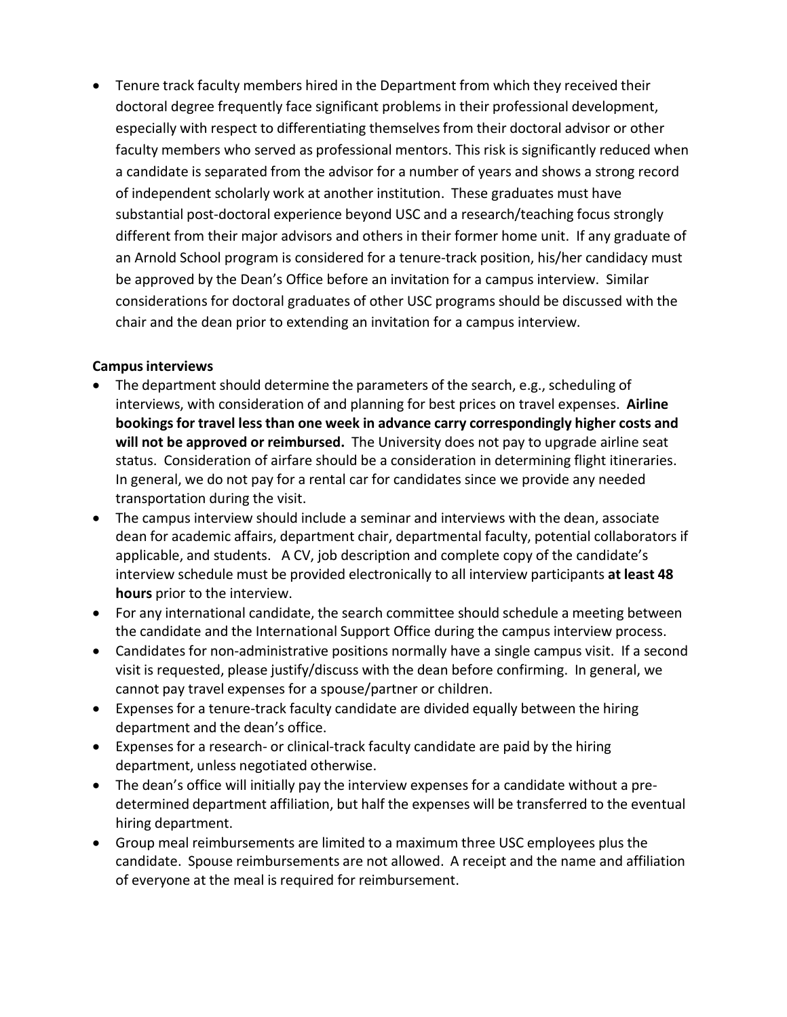• Tenure track faculty members hired in the Department from which they received their doctoral degree frequently face significant problems in their professional development, especially with respect to differentiating themselves from their doctoral advisor or other faculty members who served as professional mentors. This risk is significantly reduced when a candidate is separated from the advisor for a number of years and shows a strong record of independent scholarly work at another institution. These graduates must have substantial post-doctoral experience beyond USC and a research/teaching focus strongly different from their major advisors and others in their former home unit. If any graduate of an Arnold School program is considered for a tenure‐track position, his/her candidacy must be approved by the Dean's Office before an invitation for a campus interview. Similar considerations for doctoral graduates of other USC programs should be discussed with the chair and the dean prior to extending an invitation for a campus interview.

#### **Campusinterviews**

- The department should determine the parameters of the search, e.g., scheduling of interviews, with consideration of and planning for best prices on travel expenses. **Airline bookings for travel less than one week in advance carry correspondingly higher costs and will not be approved or reimbursed.** The University does not pay to upgrade airline seat status. Consideration of airfare should be a consideration in determining flight itineraries. In general, we do not pay for a rental car for candidates since we provide any needed transportation during the visit.
- The campus interview should include a seminar and interviews with the dean, associate dean for academic affairs, department chair, departmental faculty, potential collaborators if applicable, and students. A CV, job description and complete copy of the candidate's interview schedule must be provided electronically to all interview participants **at least 48 hours** prior to the interview.
- For any international candidate, the search committee should schedule a meeting between the candidate and the International Support Office during the campus interview process.
- Candidates for non‐administrative positions normally have a single campus visit. If a second visit is requested, please justify/discuss with the dean before confirming. In general, we cannot pay travel expenses for a spouse/partner or children.
- Expenses for a tenure-track faculty candidate are divided equally between the hiring department and the dean's office.
- Expenses for a research‐ or clinical‐track faculty candidate are paid by the hiring department, unless negotiated otherwise.
- The dean's office will initially pay the interview expenses for a candidate without a predetermined department affiliation, but half the expenses will be transferred to the eventual hiring department.
- Group meal reimbursements are limited to a maximum three USC employees plus the candidate. Spouse reimbursements are not allowed. A receipt and the name and affiliation of everyone at the meal is required for reimbursement.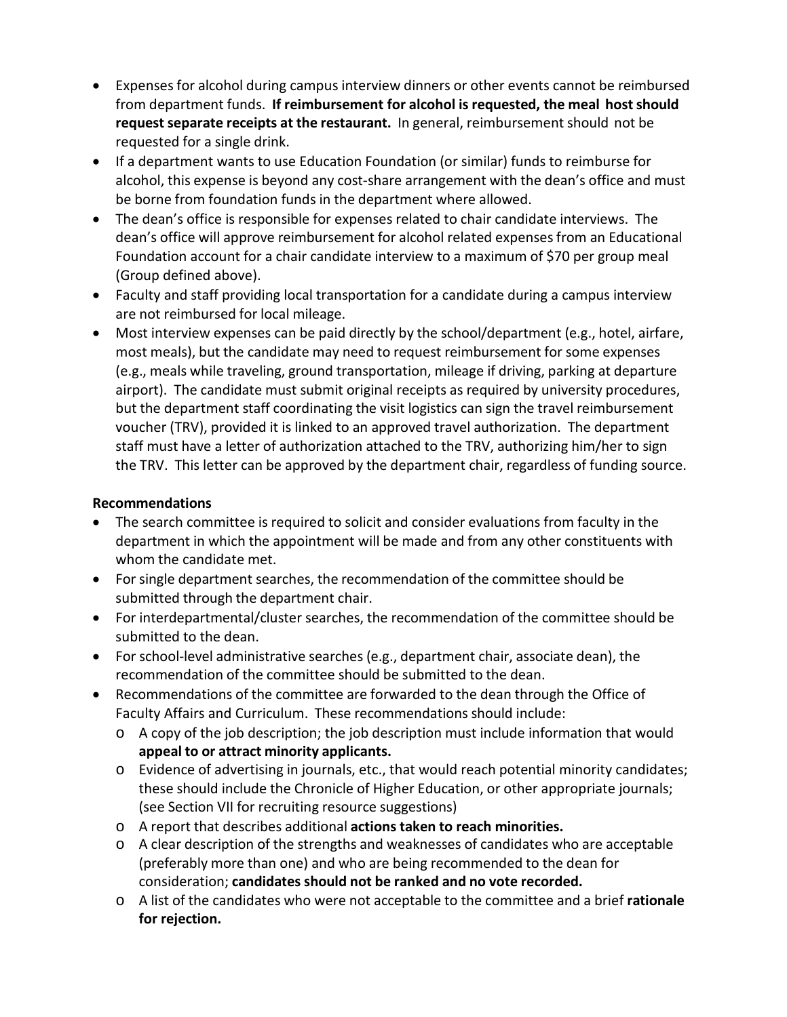- Expenses for alcohol during campus interview dinners or other events cannot be reimbursed from department funds. **If reimbursement for alcohol is requested, the meal hostshould request separate receipts at the restaurant.** In general, reimbursement should not be requested for a single drink.
- If a department wants to use Education Foundation (or similar) funds to reimburse for alcohol, this expense is beyond any cost‐share arrangement with the dean's office and must be borne from foundation funds in the department where allowed.
- The dean's office is responsible for expenses related to chair candidate interviews. The dean's office will approve reimbursement for alcohol related expensesfrom an Educational Foundation account for a chair candidate interview to a maximum of \$70 per group meal (Group defined above).
- Faculty and staff providing local transportation for a candidate during a campus interview are not reimbursed for local mileage.
- Most interview expenses can be paid directly by the school/department (e.g., hotel, airfare, most meals), but the candidate may need to request reimbursement for some expenses (e.g., meals while traveling, ground transportation, mileage if driving, parking at departure airport). The candidate must submit original receipts as required by university procedures, but the department staff coordinating the visit logistics can sign the travel reimbursement voucher (TRV), provided it is linked to an approved travel authorization. The department staff must have a letter of authorization attached to the TRV, authorizing him/her to sign the TRV. This letter can be approved by the department chair, regardless of funding source.

### **Recommendations**

- The search committee is required to solicit and consider evaluations from faculty in the department in which the appointment will be made and from any other constituents with whom the candidate met.
- For single department searches, the recommendation of the committee should be submitted through the department chair.
- For interdepartmental/cluster searches, the recommendation of the committee should be submitted to the dean.
- For school-level administrative searches (e.g., department chair, associate dean), the recommendation of the committee should be submitted to the dean.
- Recommendations of the committee are forwarded to the dean through the Office of Faculty Affairs and Curriculum. These recommendations should include:
	- o A copy of the job description; the job description must include information that would **appeal to or attract minority applicants.**
	- o Evidence of advertising in journals, etc., that would reach potential minority candidates; these should include the Chronicle of Higher Education, or other appropriate journals; (see Section VII for recruiting resource suggestions)
	- o A report that describes additional **actions taken to reach minorities.**
	- o A clear description of the strengths and weaknesses of candidates who are acceptable (preferably more than one) and who are being recommended to the dean for consideration; **candidates should not be ranked and no vote recorded.**
	- o A list of the candidates who were not acceptable to the committee and a brief **rationale for rejection.**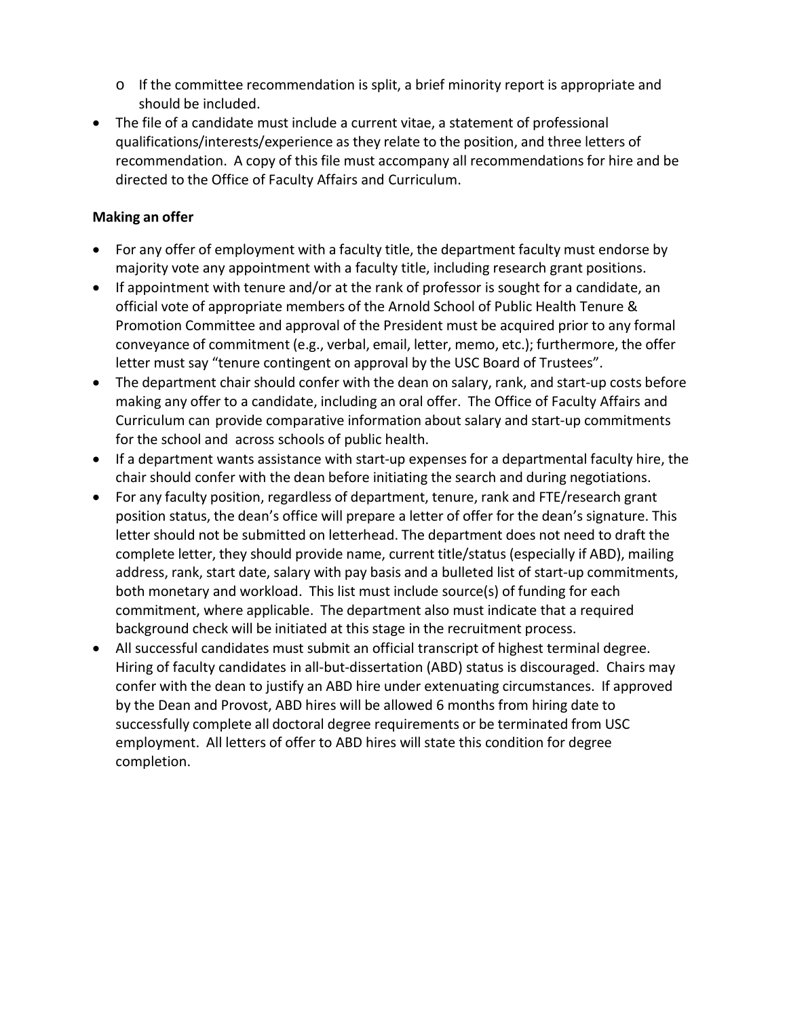- o If the committee recommendation is split, a brief minority report is appropriate and should be included.
- The file of a candidate must include a current vitae, a statement of professional qualifications/interests/experience as they relate to the position, and three letters of recommendation. A copy of this file must accompany all recommendations for hire and be directed to the Office of Faculty Affairs and Curriculum.

## **Making an offer**

- For any offer of employment with a faculty title, the department faculty must endorse by majority vote any appointment with a faculty title, including research grant positions.
- If appointment with tenure and/or at the rank of professor is sought for a candidate, an official vote of appropriate members of the Arnold School of Public Health Tenure & Promotion Committee and approval of the President must be acquired prior to any formal conveyance of commitment (e.g., verbal, email, letter, memo, etc.); furthermore, the offer letter must say "tenure contingent on approval by the USC Board of Trustees".
- The department chair should confer with the dean on salary, rank, and start-up costs before making any offer to a candidate, including an oral offer. The Office of Faculty Affairs and Curriculum can provide comparative information about salary and start‐up commitments for the school and across schools of public health.
- If a department wants assistance with start-up expensesfor a departmental faculty hire, the chair should confer with the dean before initiating the search and during negotiations.
- For any faculty position, regardless of department, tenure, rank and FTE/research grant position status, the dean's office will prepare a letter of offer for the dean's signature. This letter should not be submitted on letterhead. The department does not need to draft the complete letter, they should provide name, current title/status (especially if ABD), mailing address, rank, start date, salary with pay basis and a bulleted list of start-up commitments, both monetary and workload. This list must include source(s) of funding for each commitment, where applicable. The department also must indicate that a required background check will be initiated at this stage in the recruitment process.
- All successful candidates must submit an official transcript of highest terminal degree. Hiring of faculty candidates in all-but-dissertation (ABD) status is discouraged. Chairs may confer with the dean to justify an ABD hire under extenuating circumstances. If approved by the Dean and Provost, ABD hires will be allowed 6 months from hiring date to successfully complete all doctoral degree requirements or be terminated from USC employment. All letters of offer to ABD hires will state this condition for degree completion.